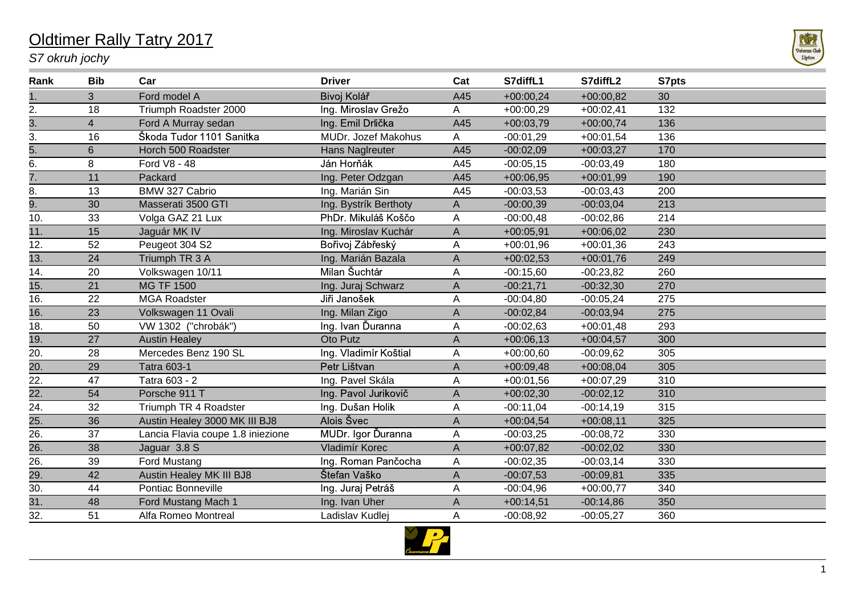## Oldtimer Rally Tatry 2017

## *S7 okruh jochy*



| Rank              | <b>Bib</b>     | Car                               | <b>Driver</b>         | Cat         | S7diffL1    | S7diffL2    | S7pts |
|-------------------|----------------|-----------------------------------|-----------------------|-------------|-------------|-------------|-------|
|                   | 3              | Ford model A                      | Bivoj Kolář           | A45         | $+00:00,24$ | $+00:00,82$ | 30    |
| 2.                | 18             | Triumph Roadster 2000             | Ing. Miroslav Grežo   | A           | $+00:00,29$ | $+00:02,41$ | 132   |
| $\frac{3}{3}$ .   | $\overline{4}$ | Ford A Murray sedan               | Ing. Emil Drlička     | A45         | $+00:03,79$ | $+00:00,74$ | 136   |
|                   | 16             | Škoda Tudor 1101 Sanitka          | MUDr. Jozef Makohus   | A           | $-00:01,29$ | $+00:01,54$ | 136   |
| 5.                | $6\phantom{a}$ | Horch 500 Roadster                | Hans Naglreuter       | A45         | $-00:02,09$ | $+00:03,27$ | 170   |
| 6.                | 8              | Ford V8 - 48                      | Ján Horňák            | A45         | $-00:05,15$ | $-00:03,49$ | 180   |
| $\overline{7}$ .  | 11             | Packard                           | Ing. Peter Odzgan     | A45         | $+00:06,95$ | $+00:01,99$ | 190   |
| 8.                | 13             | BMW 327 Cabrio                    | Ing. Marián Sin       | A45         | $-00:03,53$ | $-00:03,43$ | 200   |
| 9.                | 30             | Masserati 3500 GTI                | Ing. Bystrík Berthoty | A           | $-00:00,39$ | $-00:03,04$ | 213   |
| 10.               | 33             | Volga GAZ 21 Lux                  | PhDr. Mikuláš Koščo   | Α           | $-00:00,48$ | $-00:02,86$ | 214   |
| 11.               | 15             | Jaguár MK IV                      | Ing. Miroslav Kuchár  | $\mathsf A$ | $+00:05,91$ | $+00:06,02$ | 230   |
| 12.               | 52             | Peugeot 304 S2                    | Bořivoj Zábřeský      | A           | $+00:01,96$ | $+00:01,36$ | 243   |
| 13.               | 24             | Triumph TR 3 A                    | Ing. Marián Bazala    | A           | $+00:02,53$ | $+00:01,76$ | 249   |
| 14.               | 20             | Volkswagen 10/11                  | Milan Šuchtár         | Α           | $-00:15,60$ | $-00:23,82$ | 260   |
| $\overline{15}$ . | 21             | <b>MG TF 1500</b>                 | Ing. Juraj Schwarz    | A           | $-00:21,71$ | $-00:32,30$ | 270   |
| 16.               | 22             | <b>MGA Roadster</b>               | Jiři Janošek          | A           | $-00:04,80$ | $-00:05,24$ | 275   |
| 16.               | 23             | Volkswagen 11 Ovali               | Ing. Milan Zigo       | A           | $-00:02,84$ | $-00:03,94$ | 275   |
| 18.               | 50             | VW 1302 ("chrobák")               | Ing. Ivan Ďuranna     | A           | $-00:02,63$ | $+00:01,48$ | 293   |
| 19.               | 27             | <b>Austin Healey</b>              | Oto Putz              | A           | $+00:06,13$ | $+00:04,57$ | 300   |
| 20.               | 28             | Mercedes Benz 190 SL              | Ing. Vladimír Koštial | A           | $+00:00,60$ | $-00:09,62$ | 305   |
| $\overline{20}$ . | 29             | <b>Tatra 603-1</b>                | Petr Lištvan          | $\mathsf A$ | $+00:09,48$ | $+00:08,04$ | 305   |
| 22.               | 47             | Tatra 603 - 2                     | Ing. Pavel Skála      | Α           | $+00:01,56$ | $+00:07,29$ | 310   |
| $\overline{22}$ . | 54             | Porsche 911 T                     | Ing. Pavol Jurikovič  | A           | $+00:02,30$ | $-00:02,12$ | 310   |
| 24.               | 32             | Triumph TR 4 Roadster             | Ing. Dušan Holik      | A           | $-00:11,04$ | $-00:14,19$ | 315   |
| $\frac{25}{26}$   | 36             | Austin Healey 3000 MK III BJ8     | Alois Švec            | $\mathsf A$ | $+00:04,54$ | $+00:08,11$ | 325   |
|                   | 37             | Lancia Flavia coupe 1.8 iniezione | MUDr. Igor Ďuranna    | A           | $-00:03,25$ | $-00:08,72$ | 330   |
| $\overline{26}$ . | 38             | Jaguar 3.8 S                      | Vladimír Korec        | A           | $+00:07,82$ | $-00:02,02$ | 330   |
| 26.               | 39             | Ford Mustang                      | Ing. Roman Pančocha   | A           | $-00:02,35$ | $-00:03,14$ | 330   |
| 29.               | 42             | Austin Healey MK III BJ8          | Štefan Vaško          | $\mathsf A$ | $-00:07,53$ | $-00:09,81$ | 335   |
| 30.               | 44             | Pontiac Bonneville                | Ing. Juraj Petráš     | Α           | $-00:04,96$ | $+00:00,77$ | 340   |
| $\overline{31}$ . | 48             | Ford Mustang Mach 1               | Ing. Ivan Uher        | A           | $+00:14,51$ | $-00:14,86$ | 350   |
| 32.               | 51             | Alfa Romeo Montreal               | Ladislav Kudlej       | Α           | $-00:08,92$ | $-00:05,27$ | 360   |